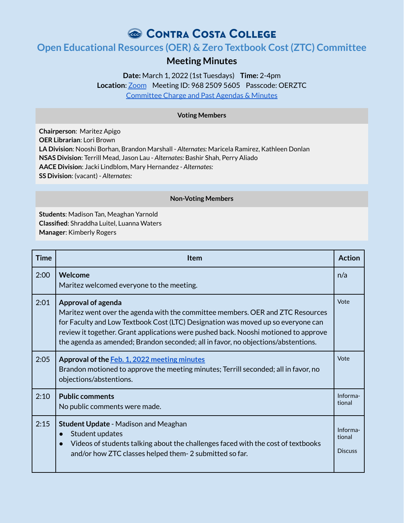# CONTRA COSTA COLLEGE

# **Open Educational Resources (OER) & Zero Textbook Cost(ZTC) Committee**

## **Meeting Minutes**

## **Date:** March 1, 2022 (1st Tuesdays) **Time:** 2-4pm **Location**: [Zoom](https://4cd.zoom.us/j/96825095605?pwd=ekxnYlZmbWpoWnNnS3JRdnFLQUxUUT09) Meeting ID: 968 2509 5605 Passcode: OERZTC [Committee](https://www.contracosta.edu/about/administration/college-committees/open-educational-resources-oer-and-zero-textbook-cost-ztc-committee/) Charge and Past Agendas & Minutes

### **Voting Members**

**Chairperson**: Maritez Apigo **OER Librarian**: Lori Brown **LA Division**: Nooshi Borhan, Brandon Marshall - *Alternates:* Maricela Ramirez, Kathleen Donlan **NSAS Division**: Terrill Mead, Jason Lau - *Alternates:* Bashir Shah, Perry Aliado **AACE Division**: Jacki Lindblom, Mary Hernandez - *Alternates:* **SS Division**: (vacant) - *Alternates:*

#### **Non-Voting Members**

**Students**: Madison Tan, Meaghan Yarnold **Classified**: Shraddha Luitel, Luanna Waters **Manager**: Kimberly Rogers

| Time | <b>Item</b>                                                                                                                                                                                                                                                                                                                                                                 | <b>Action</b>                        |
|------|-----------------------------------------------------------------------------------------------------------------------------------------------------------------------------------------------------------------------------------------------------------------------------------------------------------------------------------------------------------------------------|--------------------------------------|
| 2:00 | Welcome<br>Maritez welcomed everyone to the meeting.                                                                                                                                                                                                                                                                                                                        | n/a                                  |
| 2:01 | <b>Approval of agenda</b><br>Maritez went over the agenda with the committee members. OER and ZTC Resources<br>for Faculty and Low Textbook Cost (LTC) Designation was moved up so everyone can<br>review it together. Grant applications were pushed back. Nooshi motioned to approve<br>the agenda as amended; Brandon seconded; all in favor, no objections/abstentions. | Vote                                 |
| 2:05 | Approval of the Feb. 1, 2022 meeting minutes<br>Brandon motioned to approve the meeting minutes; Terrill seconded; all in favor, no<br>objections/abstentions.                                                                                                                                                                                                              | Vote                                 |
| 2:10 | <b>Public comments</b><br>No public comments were made.                                                                                                                                                                                                                                                                                                                     | Informa-<br>tional                   |
| 2:15 | <b>Student Update - Madison and Meaghan</b><br>Student updates<br>Videos of students talking about the challenges faced with the cost of textbooks<br>and/or how ZTC classes helped them-2 submitted so far.                                                                                                                                                                | Informa-<br>tional<br><b>Discuss</b> |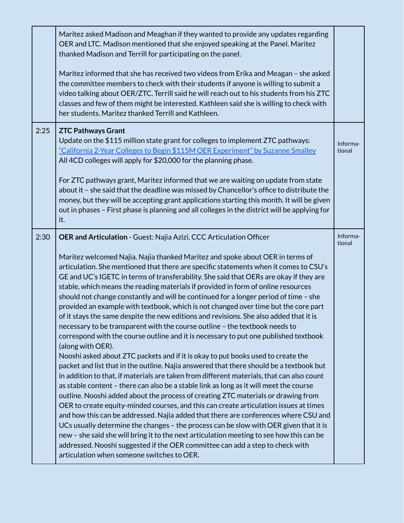|      | Maritez asked Madison and Meaghan if they wanted to provide any updates regarding<br>OER and LTC. Madison mentioned that she enjoyed speaking at the Panel. Maritez<br>thanked Madison and Terrill for participating on the panel.<br>Maritez informed that she has received two videos from Erika and Meagan - she asked<br>the committee members to check with their students if anyone is willing to submit a<br>video talking about OER/ZTC. Terrill said he will reach out to his students from his ZTC<br>classes and few of them might be interested. Kathleen said she is willing to check with<br>her students. Maritez thanked Terrill and Kathleen.                                                                                                                                                                                                                                                                                                                                                                                                                                                                                                                                                                                                                                                                                                                                                                                                                                                                                                                                                                                                                                                                                                                                                                                                   |                    |
|------|------------------------------------------------------------------------------------------------------------------------------------------------------------------------------------------------------------------------------------------------------------------------------------------------------------------------------------------------------------------------------------------------------------------------------------------------------------------------------------------------------------------------------------------------------------------------------------------------------------------------------------------------------------------------------------------------------------------------------------------------------------------------------------------------------------------------------------------------------------------------------------------------------------------------------------------------------------------------------------------------------------------------------------------------------------------------------------------------------------------------------------------------------------------------------------------------------------------------------------------------------------------------------------------------------------------------------------------------------------------------------------------------------------------------------------------------------------------------------------------------------------------------------------------------------------------------------------------------------------------------------------------------------------------------------------------------------------------------------------------------------------------------------------------------------------------------------------------------------------------|--------------------|
| 2:25 | <b>ZTC Pathways Grant</b><br>Update on the \$115 million state grant for colleges to implement ZTC pathways:<br>"California 2-Year Colleges to Begin \$115M OER Experiment" by Suzanne Smalley<br>All 4CD colleges will apply for \$20,000 for the planning phase.<br>For ZTC pathways grant, Maritez informed that we are waiting on update from state<br>about it - she said that the deadline was missed by Chancellor's office to distribute the<br>money, but they will be accepting grant applications starting this month. It will be given<br>out in phases - First phase is planning and all colleges in the district will be applying for<br>it.                                                                                                                                                                                                                                                                                                                                                                                                                                                                                                                                                                                                                                                                                                                                                                                                                                                                                                                                                                                                                                                                                                                                                                                                       | Informa-<br>tional |
| 2:30 | OER and Articulation - Guest: Najia Azizi, CCC Articulation Officer<br>Maritez welcomed Najia. Najia thanked Maritez and spoke about OER in terms of<br>articulation. She mentioned that there are specific statements when it comes to CSU's<br>GE and UC's IGETC in terms of transferability. She said that OERs are okay if they are<br>stable, which means the reading materials if provided in form of online resources<br>should not change constantly and will be continued for a longer period of time - she<br>provided an example with textbook, which is not changed over time but the core part<br>of it stays the same despite the new editions and revisions. She also added that it is<br>necessary to be transparent with the course outline - the textbook needs to<br>correspond with the course outline and it is necessary to put one published textbook<br>(along with OER).<br>Nooshi asked about ZTC packets and if it is okay to put books used to create the<br>packet and list that in the outline. Najia answered that there should be a textbook but<br>in addition to that, if materials are taken from different materials, that can also count<br>as stable content - there can also be a stable link as long as it will meet the course<br>outline. Nooshi added about the process of creating ZTC materials or drawing from<br>OER to create equity-minded courses, and this can create articulation issues at times<br>and how this can be addressed. Najia added that there are conferences where CSU and<br>UCs usually determine the changes - the process can be slow with OER given that it is<br>new - she said she will bring it to the next articulation meeting to see how this can be<br>addressed. Nooshi suggested if the OER committee can add a step to check with<br>articulation when someone switches to OER. | Informa-<br>tional |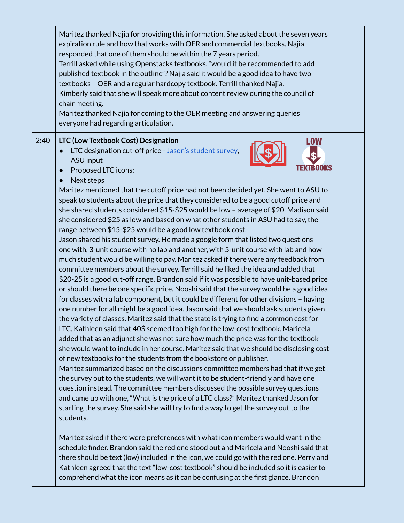|      | Maritez thanked Najia for providing this information. She asked about the seven years<br>expiration rule and how that works with OER and commercial textbooks. Najia<br>responded that one of them should be within the 7 years period.<br>Terrill asked while using Openstacks textbooks, "would it be recommended to add<br>published textbook in the outline"? Najia said it would be a good idea to have two<br>textbooks - OER and a regular hardcopy textbook. Terrill thanked Najia.<br>Kimberly said that she will speak more about content review during the council of<br>chair meeting.<br>Maritez thanked Najia for coming to the OER meeting and answering queries<br>everyone had regarding articulation.                                                                                                                                                                                                                                                                                                                                                                                                                                                                                                                                                                                                                                                                                                                                                                                                                                                                                                                                                                                                                                                                                                                                                                                                                                                                                                                                                                                                                                                                                                     |  |
|------|-----------------------------------------------------------------------------------------------------------------------------------------------------------------------------------------------------------------------------------------------------------------------------------------------------------------------------------------------------------------------------------------------------------------------------------------------------------------------------------------------------------------------------------------------------------------------------------------------------------------------------------------------------------------------------------------------------------------------------------------------------------------------------------------------------------------------------------------------------------------------------------------------------------------------------------------------------------------------------------------------------------------------------------------------------------------------------------------------------------------------------------------------------------------------------------------------------------------------------------------------------------------------------------------------------------------------------------------------------------------------------------------------------------------------------------------------------------------------------------------------------------------------------------------------------------------------------------------------------------------------------------------------------------------------------------------------------------------------------------------------------------------------------------------------------------------------------------------------------------------------------------------------------------------------------------------------------------------------------------------------------------------------------------------------------------------------------------------------------------------------------------------------------------------------------------------------------------------------------|--|
| 2:40 | LTC (Low Textbook Cost) Designation<br>LOW<br>LTC designation cut-off price - Jason's student survey,<br>ASU input<br>Proposed LTC icons:<br>Next steps<br>Maritez mentioned that the cutoff price had not been decided yet. She went to ASU to<br>speak to students about the price that they considered to be a good cutoff price and<br>she shared students considered \$15-\$25 would be low - average of \$20. Madison said<br>she considered \$25 as low and based on what other students in ASU had to say, the<br>range between \$15-\$25 would be a good low textbook cost.<br>Jason shared his student survey. He made a google form that listed two questions -<br>one with, 3-unit course with no lab and another, with 5-unit course with lab and how<br>much student would be willing to pay. Maritez asked if there were any feedback from<br>committee members about the survey. Terrill said he liked the idea and added that<br>\$20-25 is a good cut-off range. Brandon said if it was possible to have unit-based price<br>or should there be one specific price. Nooshi said that the survey would be a good idea<br>for classes with a lab component, but it could be different for other divisions - having<br>one number for all might be a good idea. Jason said that we should ask students given<br>the variety of classes. Maritez said that the state is trying to find a common cost for<br>LTC. Kathleen said that 40\$ seemed too high for the low-cost textbook. Maricela<br>added that as an adjunct she was not sure how much the price was for the textbook<br>she would want to include in her course. Maritez said that we should be disclosing cost<br>of new textbooks for the students from the bookstore or publisher.<br>Maritez summarized based on the discussions committee members had that if we get<br>the survey out to the students, we will want it to be student-friendly and have one<br>question instead. The committee members discussed the possible survey questions<br>and came up with one, "What is the price of a LTC class?" Maritez thanked Jason for<br>starting the survey. She said she will try to find a way to get the survey out to the<br>students. |  |
|      | Maritez asked if there were preferences with what icon members would want in the<br>schedule finder. Brandon said the red one stood out and Maricela and Nooshi said that<br>there should be text (low) included in the icon, we could go with the red one. Perry and<br>Kathleen agreed that the text "low-cost textbook" should be included so it is easier to<br>comprehend what the icon means as it can be confusing at the first glance. Brandon                                                                                                                                                                                                                                                                                                                                                                                                                                                                                                                                                                                                                                                                                                                                                                                                                                                                                                                                                                                                                                                                                                                                                                                                                                                                                                                                                                                                                                                                                                                                                                                                                                                                                                                                                                      |  |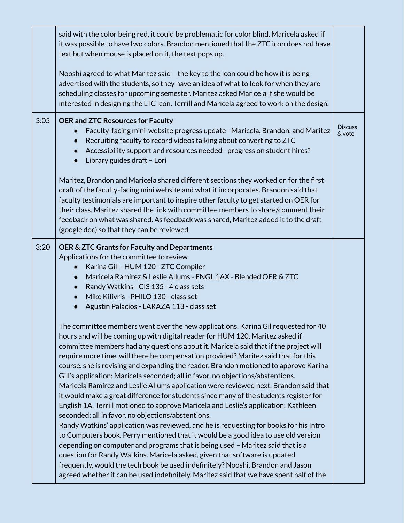|      | said with the color being red, it could be problematic for color blind. Maricela asked if<br>it was possible to have two colors. Brandon mentioned that the ZTC icon does not have<br>text but when mouse is placed on it, the text pops up.                                                                                                                                                                                                                                                                                                                                                                                                                                                                                                                                                                                                                                                                                                                                                                                                                                                                                                                                                                                                                                                                                                                                           |                          |
|------|----------------------------------------------------------------------------------------------------------------------------------------------------------------------------------------------------------------------------------------------------------------------------------------------------------------------------------------------------------------------------------------------------------------------------------------------------------------------------------------------------------------------------------------------------------------------------------------------------------------------------------------------------------------------------------------------------------------------------------------------------------------------------------------------------------------------------------------------------------------------------------------------------------------------------------------------------------------------------------------------------------------------------------------------------------------------------------------------------------------------------------------------------------------------------------------------------------------------------------------------------------------------------------------------------------------------------------------------------------------------------------------|--------------------------|
|      | Nooshi agreed to what Maritez said - the key to the icon could be how it is being<br>advertised with the students, so they have an idea of what to look for when they are<br>scheduling classes for upcoming semester. Maritez asked Maricela if she would be<br>interested in designing the LTC icon. Terrill and Maricela agreed to work on the design.                                                                                                                                                                                                                                                                                                                                                                                                                                                                                                                                                                                                                                                                                                                                                                                                                                                                                                                                                                                                                              |                          |
| 3:05 | <b>OER and ZTC Resources for Faculty</b><br>Faculty-facing mini-website progress update - Maricela, Brandon, and Maritez<br>Recruiting faculty to record videos talking about converting to ZTC<br>$\bullet$<br>Accessibility support and resources needed - progress on student hires?<br>Library guides draft - Lori<br>$\bullet$                                                                                                                                                                                                                                                                                                                                                                                                                                                                                                                                                                                                                                                                                                                                                                                                                                                                                                                                                                                                                                                    | <b>Discuss</b><br>& vote |
|      | Maritez, Brandon and Maricela shared different sections they worked on for the first<br>draft of the faculty-facing mini website and what it incorporates. Brandon said that<br>faculty testimonials are important to inspire other faculty to get started on OER for<br>their class. Maritez shared the link with committee members to share/comment their<br>feedback on what was shared. As feedback was shared, Maritez added it to the draft<br>(google doc) so that they can be reviewed.                                                                                                                                                                                                                                                                                                                                                                                                                                                                                                                                                                                                                                                                                                                                                                                                                                                                                        |                          |
| 3:20 | OER & ZTC Grants for Faculty and Departments<br>Applications for the committee to review<br>Karina Gill - HUM 120 - ZTC Compiler<br>$\bullet$<br>Maricela Ramirez & Leslie Allums - ENGL 1AX - Blended OER & ZTC<br>$\bullet$<br>Randy Watkins - CIS 135 - 4 class sets<br>$\bullet$<br>Mike Kilivris - PHILO 130 - class set<br>Agustin Palacios - LARAZA 113 - class set                                                                                                                                                                                                                                                                                                                                                                                                                                                                                                                                                                                                                                                                                                                                                                                                                                                                                                                                                                                                             |                          |
|      | The committee members went over the new applications. Karina Gil requested for 40<br>hours and will be coming up with digital reader for HUM 120. Maritez asked if<br>committee members had any questions about it. Maricela said that if the project will<br>require more time, will there be compensation provided? Maritez said that for this<br>course, she is revising and expanding the reader. Brandon motioned to approve Karina<br>Gill's application; Maricela seconded; all in favor, no objections/abstentions.<br>Maricela Ramirez and Leslie Allums application were reviewed next. Brandon said that<br>it would make a great difference for students since many of the students register for<br>English 1A. Terrill motioned to approve Maricela and Leslie's application; Kathleen<br>seconded; all in favor, no objections/abstentions.<br>Randy Watkins' application was reviewed, and he is requesting for books for his Intro<br>to Computers book. Perry mentioned that it would be a good idea to use old version<br>depending on computer and programs that is being used - Maritez said that is a<br>question for Randy Watkins. Maricela asked, given that software is updated<br>frequently, would the tech book be used indefinitely? Nooshi, Brandon and Jason<br>agreed whether it can be used indefinitely. Maritez said that we have spent half of the |                          |